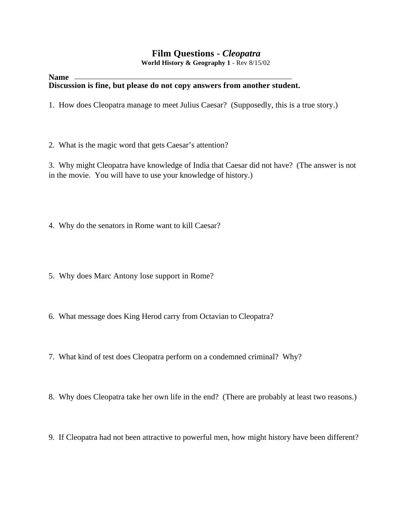### **Film Questions -** *Cleopatra*

**World History & Geography 1** - Rev 8/15/02

#### **Name Discussion is fine, but please do not copy answers from another student.**

1. How does Cleopatra manage to meet Julius Caesar? (Supposedly, this is a true story.)

2. What is the magic word that gets Caesar's attention?

3. Why might Cleopatra have knowledge of India that Caesar did not have? (The answer is not in the movie. You will have to use your knowledge of history.)

4. Why do the senators in Rome want to kill Caesar?

- 5. Why does Marc Antony lose support in Rome?
- 6. What message does King Herod carry from Octavian to Cleopatra?
- 7. What kind of test does Cleopatra perform on a condemned criminal? Why?
- 8. Why does Cleopatra take her own life in the end? (There are probably at least two reasons.)
- 9. If Cleopatra had not been attractive to powerful men, how might history have been different?